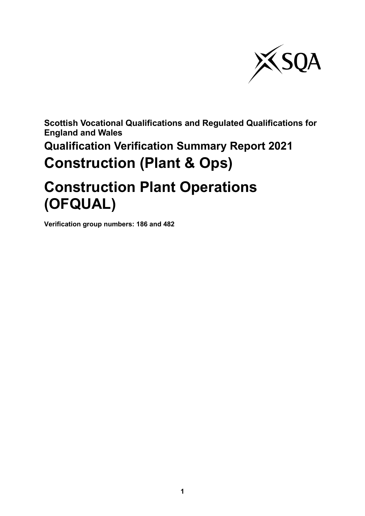

**Scottish Vocational Qualifications and Regulated Qualifications for England and Wales**

**Qualification Verification Summary Report 2021 Construction (Plant & Ops)** 

# **Construction Plant Operations (OFQUAL)**

**Verification group numbers: 186 and 482**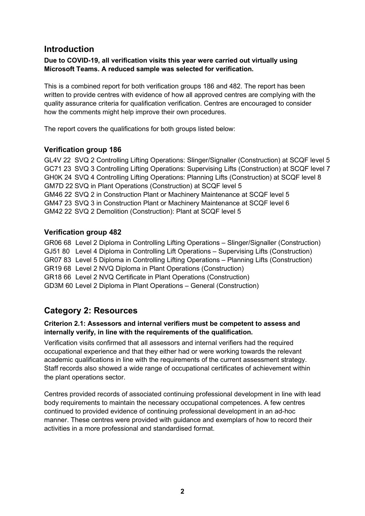# **Introduction**

## **Due to COVID-19, all verification visits this year were carried out virtually using Microsoft Teams. A reduced sample was selected for verification.**

This is a combined report for both verification groups 186 and 482. The report has been written to provide centres with evidence of how all approved centres are complying with the quality assurance criteria for qualification verification. Centres are encouraged to consider how the comments might help improve their own procedures.

The report covers the qualifications for both groups listed below:

## **Verification group 186**

GL4V 22 SVQ 2 Controlling Lifting Operations: Slinger/Signaller (Construction) at SCQF level 5 GC71 23 SVQ 3 Controlling Lifting Operations: Supervising Lifts (Construction) at SCQF level 7 GH0K 24 SVQ 4 Controlling Lifting Operations: Planning Lifts (Construction) at SCQF level 8 GM7D 22 SVQ in Plant Operations (Construction) at SCQF level 5 GM46 22 SVQ 2 in Construction Plant or Machinery Maintenance at SCQF level 5 GM47 23 SVQ 3 in Construction Plant or Machinery Maintenance at SCQF level 6 GM42 22 SVQ 2 Demolition (Construction): Plant at SCQF level 5

## **Verification group 482**

GR06 68 Level 2 Diploma in Controlling Lifting Operations – Slinger/Signaller (Construction) GJ51 80 Level 4 Diploma in Controlling Lift Operations – Supervising Lifts (Construction) GR07 83 Level 5 Diploma in Controlling Lifting Operations – Planning Lifts (Construction) GR19 68 Level 2 NVQ Diploma in Plant Operations (Construction) GR18 66 Level 2 NVQ Certificate in Plant Operations (Construction) GD3M 60 Level 2 Diploma in Plant Operations – General (Construction)

# **Category 2: Resources**

#### **Criterion 2.1: Assessors and internal verifiers must be competent to assess and internally verify, in line with the requirements of the qualification.**

Verification visits confirmed that all assessors and internal verifiers had the required occupational experience and that they either had or were working towards the relevant academic qualifications in line with the requirements of the current assessment strategy. Staff records also showed a wide range of occupational certificates of achievement within the plant operations sector.

Centres provided records of associated continuing professional development in line with lead body requirements to maintain the necessary occupational competences. A few centres continued to provided evidence of continuing professional development in an ad-hoc manner. These centres were provided with guidance and exemplars of how to record their activities in a more professional and standardised format.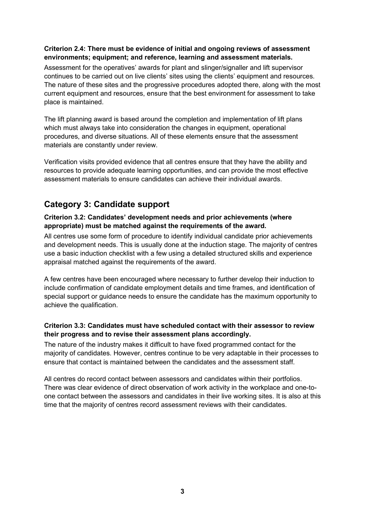### **Criterion 2.4: There must be evidence of initial and ongoing reviews of assessment environments; equipment; and reference, learning and assessment materials.**

Assessment for the operatives' awards for plant and slinger/signaller and lift supervisor continues to be carried out on live clients' sites using the clients' equipment and resources. The nature of these sites and the progressive procedures adopted there, along with the most current equipment and resources, ensure that the best environment for assessment to take place is maintained.

The lift planning award is based around the completion and implementation of lift plans which must always take into consideration the changes in equipment, operational procedures, and diverse situations. All of these elements ensure that the assessment materials are constantly under review.

Verification visits provided evidence that all centres ensure that they have the ability and resources to provide adequate learning opportunities, and can provide the most effective assessment materials to ensure candidates can achieve their individual awards.

# **Category 3: Candidate support**

## **Criterion 3.2: Candidates' development needs and prior achievements (where appropriate) must be matched against the requirements of the award.**

All centres use some form of procedure to identify individual candidate prior achievements and development needs. This is usually done at the induction stage. The majority of centres use a basic induction checklist with a few using a detailed structured skills and experience appraisal matched against the requirements of the award.

A few centres have been encouraged where necessary to further develop their induction to include confirmation of candidate employment details and time frames, and identification of special support or guidance needs to ensure the candidate has the maximum opportunity to achieve the qualification.

## **Criterion 3.3: Candidates must have scheduled contact with their assessor to review their progress and to revise their assessment plans accordingly.**

The nature of the industry makes it difficult to have fixed programmed contact for the majority of candidates. However, centres continue to be very adaptable in their processes to ensure that contact is maintained between the candidates and the assessment staff.

All centres do record contact between assessors and candidates within their portfolios. There was clear evidence of direct observation of work activity in the workplace and one-toone contact between the assessors and candidates in their live working sites. It is also at this time that the majority of centres record assessment reviews with their candidates.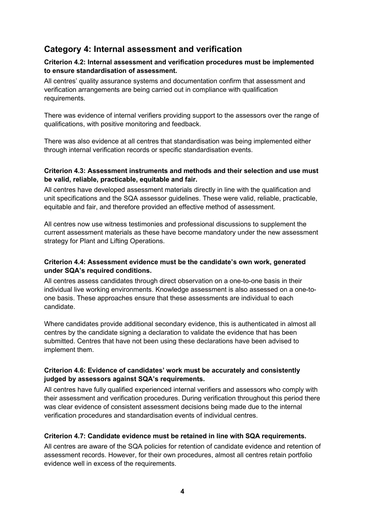# **Category 4: Internal assessment and verification**

#### **Criterion 4.2: Internal assessment and verification procedures must be implemented to ensure standardisation of assessment.**

All centres' quality assurance systems and documentation confirm that assessment and verification arrangements are being carried out in compliance with qualification requirements.

There was evidence of internal verifiers providing support to the assessors over the range of qualifications, with positive monitoring and feedback.

There was also evidence at all centres that standardisation was being implemented either through internal verification records or specific standardisation events.

#### **Criterion 4.3: Assessment instruments and methods and their selection and use must be valid, reliable, practicable, equitable and fair.**

All centres have developed assessment materials directly in line with the qualification and unit specifications and the SQA assessor guidelines. These were valid, reliable, practicable, equitable and fair, and therefore provided an effective method of assessment.

All centres now use witness testimonies and professional discussions to supplement the current assessment materials as these have become mandatory under the new assessment strategy for Plant and Lifting Operations.

### **Criterion 4.4: Assessment evidence must be the candidate's own work, generated under SQA's required conditions.**

All centres assess candidates through direct observation on a one-to-one basis in their individual live working environments. Knowledge assessment is also assessed on a one-toone basis. These approaches ensure that these assessments are individual to each candidate.

Where candidates provide additional secondary evidence, this is authenticated in almost all centres by the candidate signing a declaration to validate the evidence that has been submitted. Centres that have not been using these declarations have been advised to implement them.

### **Criterion 4.6: Evidence of candidates' work must be accurately and consistently judged by assessors against SQA's requirements.**

All centres have fully qualified experienced internal verifiers and assessors who comply with their assessment and verification procedures. During verification throughout this period there was clear evidence of consistent assessment decisions being made due to the internal verification procedures and standardisation events of individual centres.

### **Criterion 4.7: Candidate evidence must be retained in line with SQA requirements.**

All centres are aware of the SQA policies for retention of candidate evidence and retention of assessment records. However, for their own procedures, almost all centres retain portfolio evidence well in excess of the requirements.